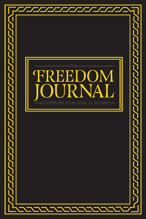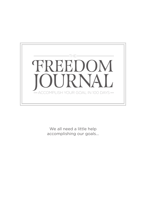

We all need a little help accomplishing our goals...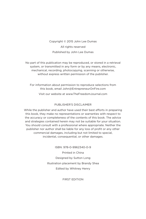Copyright © 2015 John Lee Dumas All rights reserved Published by John Lee Dumas

No part of this publication may be reproduced, or stored in a retrieval system, or transmitted in any form or by any means, electronic, mechanical, recording, photocopying, scanning or otherwise, without express written permission of the publisher.

For information about permission to reproduce selections from this book, email John@EntrepreneurOnFire.com

Visit our website at www.TheFreedomJournal.com

#### PUBLISHER'S DISCLAIMER

While the publisher and author have used their best efforts in preparing this book, they make no representations or warranties with respect to the accuracy or completeness of the contents of this book. The advice and strategies contained herein may not be suitable for your situation. You should consult with a professional where appropriate. Neither the publisher nor author shall be liable for any loss of profit or any other commercial damages, including but not limited to special, incidental, consequential, or other damages.

> ISBN: 978-0-9962340-0-9 Printed in China Designed by Sutton Long Illustration placement by Brandy Shea Edited by Whitney Henry

> > FIRST EDITION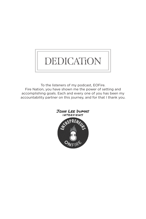# DEDICATION

To the listeners of my podcast, EOFire. Fire Nation, you have shown me the power of setting and accomplishing goals. Each and every one of you has been my accountability partner on this journey, and for that I thank you.

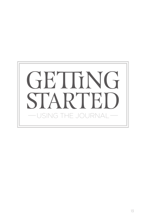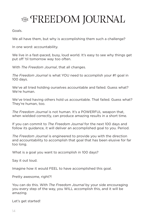## THE FREEDOM JOURNAL

Goals.

We all have them, but why is accomplishing them such a challenge?

In one word: accountability.

We live in a fast-paced, busy, loud world. It's easy to see why things get put off 'til tomorrow way too often.

With *The Freedom Journal*, that all changes.

*The Freedom Journal* is what YOU need to accomplish your #1 goal in 100 days.

We've all tried holding ourselves accountable and failed. Guess what? We're human.

We've tried having others hold us accountable. That failed. Guess what? They're human, too.

*The Freedom Journal* is not human. It's a POWERFUL weapon that, when wielded correctly, can produce amazing results in a short time.

If you can commit to *The Freedom Journal* for the next 100 days and follow its guidance, it will deliver an accomplished goal to you. Period.

*The Freedom Journal* is engineered to provide you with the direction and accountability to accomplish that goal that has been elusive for far too long.

What is a goal you want to accomplish in 100 days?

Say it out loud.

Imagine how it would FEEL to have accomplished this goal.

Pretty awesome, right?!

You can do this. With *The Freedom Journal* by your side encouraging you every step of the way, you WILL accomplish this, and it will be amazing.

Let's get started!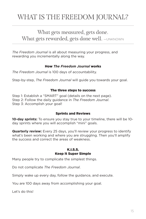### WHAT IS THE FREEDOM JOURNAL?

### What gets measured, gets done. What gets rewarded, gets done well. - UNKNOWN

*The Freedom Journal* is all about measuring your progress, and rewarding you incrementally along the way.

#### How *The Freedom Journal* works

*The Freedom Journal* is 100 days of accountability.

Step-by-step, *The Freedom Journal* will guide you towards your goal.

#### The three steps to success

Step 1: Establish a "SMART" goal (details on the next page). Step 2: Follow the daily guidance in *The Freedom Journal*. Step 3: Accomplish your goal!

#### Sprints and Reviews

**10-day sprints:** To ensure you stay true to your timeline, there will be 10 day sprints where you will accomplish "mini" goals.

**Quarterly review:** Every 25 days, you'll review your progress to identify what's been working and where you are struggling. Then you'll amplify the success and correct the areas of weakness.

#### K.I.S.S. Keep It Super Simple

Many people try to complicate the simplest things.

Do not complicate *The Freedom Journal*.

Simply wake up every day, follow the guidance, and execute.

You are 100 days away from accomplishing your goal.

Let's do this!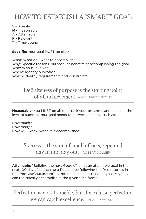### HOW TO ESTABLISH A "SMART" GOAL

- S Specific
- M Measurable
- A Attainable
- R Relevant
- T Time-bound

**Specific:** Your goal MUST be clear.

What: What do I want to accomplish? Why: Specific reasons, purpose, or benefits of accomplishing the goal. Who: Who is involved? Where: Identify a location. Which: Identify requirements and constraints.

Definiteness of purpose is the starting point of all achievement. - W. CLEMENT STONE

**Measurable:** You MUST be able to track your progress, and measure the level of success. Your goal needs to answer questions such as:

How much? How many? How will I know when it is accomplished?

> Success is the sum of small efforts, repeated day in and day out. - ROBERT COLLIER

**Attainable:** "Building the next Google" is not an attainable goal in the next 100 days. "Launching a Podcast by following the free tutorials in FreePodcastCourse.com" is. You must set an attainable goal. A goal you can realistically accomplish in the given time frame.

Perfection is not attainable, but if we chase perfection we can catch excellence. —VINCE LOMBARDI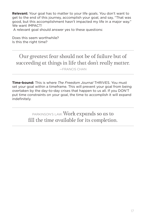**Relevant:** Your goal has to matter to your life goals. You don't want to get to the end of this journey, accomplish your goal, and say, "That was good, but this accomplishment hasn't impacted my life in a major way." We want IMPACT! A relevant goal should answer yes to these questions:

Does this seem worthwhile? Is this the right time?

Our greatest fear should not be of failure but of succeeding at things in life that don't really matter.

—FRANCIS CHAN

**Time-bound:** This is where *The Freedom Journal* THRIVES. You must set your goal within a timeframe. This will prevent your goal from being overtaken by the day-to-day crises that happen to us all. If you DON'T put time constraints on your goal, the time to accomplish it will expand indefinitely.

> PARKINSON'S LAW: Work expands so as to fill the time available for its completion.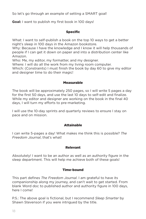So let's go through an example of setting a SMART goal!

**Goal:** I want to publish my first book in 100 days!

#### Specific

What: I want to self-publish a book on the top 10 ways to get a better night's sleep in 100 days in the Amazon bookstore.

Why: Because I have the knowledge and I know it will help thousands of people if I can get it down on paper and into a distribution center like Amazon.

Who: Me, my editor, my formatter, and my designer.

Where: I will do all the work from my living room computer.

Which: (Constraints) I must finish the book by day 60 to give my editor and designer time to do their magic!

#### Measurable

The book will be approximately 250 pages, so I will write 5 pages a day for the first 50 days, and use the last 10 days to self-edit and finalize. While my editor and designer are working on the book in the final 40 days, I will turn my efforts to pre-marketing.

I will use the 10-day sprints and quarterly reviews to ensure I stay on pace and on mission.

#### Attainable

I can write 5-pages a day! What makes me think this is possible? *The Freedom Journal*, that's what!

#### Relevant

Absolutely! I want to be an author as well as an authority figure in the sleep department. This will help me achieve both of these goals!

#### Time-bound

This part defines *The Freedom Journal*. I am grateful to have its companionship along my journey, and can't wait to get started. From blank Word doc to published author and authority figure in 100 days, here I come!

P.S.: The above goal is fictional, but I recommend *Sleep Smarter* by Shawn Stevenson if you were intrigued by the title.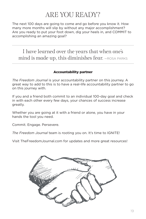### ARE YOU READY?

The next 100 days are going to come and go before you know it. How many more months will slip by without any major accomplishment? Are you ready to put your foot down, dig your heels in, and COMMIT to accomplishing an amazing goal?

I have learned over the years that when one's mind is made up, this diminishes fear.  $-$ ROSA PARKS

#### Accountability partner

*The Freedom Journal* is your accountability partner on this journey. A great way to add to this is to have a real-life accountability partner to go on this journey with.

If you and a friend both commit to an individual 100-day goal and check in with each other every few days, your chances of success increase greatly.

Whether you are going at it with a friend or alone, you have in your hands the tool you need.

Commit. Engage. Persevere.

*The Freedom Journal* team is rooting you on. It's time to IGNITE!

Visit TheFreedomJournal.com for updates and more great resources!

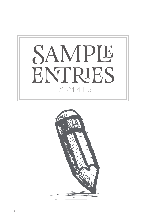

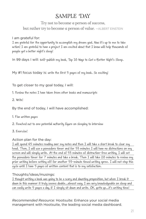### SAMPLE DAY

### Try not to become a person of success, but rather try to become a person of value. - ALBERT EINSTEIN

#### I am grateful for:

I am grateful for the opportunity to accomplish my dream goal. Now it's up to me to take action! I am grateful to have a project I am excited about that I know will help thousands of people get a better night's sleep!

In 99 days I will: self-publish my book, Top 10 Ways to Get a Better Night's Sleep.

My #1 focus today is: write the first 5 pages of my book. So exciting!

To get closer to my goal today, I will:

1. Review the notes I have taken from other books and manuscripts

2. Write!

By the end of today, I will have accomplished:

- 1. Five written pages
- 2. Reached out to one potential authority figure on sleeping to interview
- 3. Exercise!

#### Action plan for the day:

I will spend 45 minutes reading over my notes and then I will take a short break to clear my head. Then, I will use a pomodoro timer and for 53 minutes I will have no distractions on my screen and will simply write. At the end of 53 minutes of distraction-free writing, I will set the pomodoro timer for 7 minutes and take a break. Then I will take 20 minutes to review my prior writing before setting off for another 53-minute timed writing spree. I will not stop this cycle until I have 5 pages of written content that is to my satisfaction.

#### Thoughts/ideas/musings:

I thought writing a book was going to be a scary and daunting proposition, but when I break it down in this manner it truly seems doable…almost easy. I am very knowledgeable on sleep and can easily write 5 pages a day, if I simply sit down and write. OK, gotta go…it's writing time!

*Recommended Resource:* Hootsuite: Enhance your social media management with Hootsuite, the leading social media dashboard.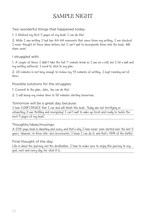### SAMPLE NIGHT

#### Two wonderful things that happened today:

1. I finished my first 5 pages of my book! I can do this!

2. While I was writing I had two AH-HA moments that came from my writing. I am shocked I never thought of these ideas before, but I can't wait to incorporate them into the book. Will share soon!

#### I struggled with:

1. A couple of times I didn't take the full 7-minute break as I was on a roll, but I hit a wall and my writing suffered. I need to stick to my plan.

2. 20 minutes is not long enough to review my 53 minutes of writing. I kept running out of time.

#### Possible solutions for the struggles:

- 1. Commit to the plan, John. You can do this!
- 2. I will bump my review time to 30 minutes starting tomorrow.

#### Tomorrow will be a great day because:

I have CONFIDENCE that I can and will finish this book. Today was not terrifying or exhausting, it was thrilling and energizing! I can't wait to wake up fresh and ready to tackle the next 5 pages of my book!

#### Thoughts/ideas/musings:

A 250-page book is daunting and scary, and that's why I have never even started over the last 5 years. However, in these bite-size increments, I know I can do it, and that's 90% of the battle!

#### Final thought of the day:

Life is about the journey, not the destination. I have to make sure to enjoy this journey to my goal, each and every day, for what it is.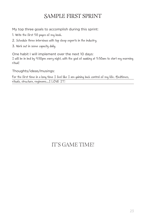### SAMPLE FIRST SPRINT

My top three goals to accomplish during this sprint:

- 1. Write the first 50 pages of my book.
- 2. Schedule three interviews with top sleep experts in the industry.
- 3. Work out in some capacity daily.

One habit I will implement over the next 10 days:

I will be in bed by 9:30pm every night, with the goal of awaking at 5:30am to start my morning ritual!

Thoughts/ideas/musings:

For the first time in a long time I feel like I am gaining back control of my life. Bedtimes, rituals, structure, regimens…I LOVE IT!

### IT'S GAME TIME!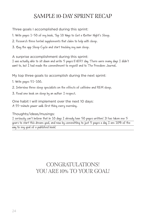### SAMPLE 10-DAY SPRINT RECAP

Three goals I accomplished during this sprint:

1. Write pages 1-50 of my book, Top 10 Ways to Get a Better Night's Sleep.

2. Research three herbal supplements that claim to help with sleep.

3. Buy the app Sleep Cycle and start tracking my own sleep.

#### A surprise accomplishment during this sprint:

I was actually able to sit down and write 5 pages EVERY day. There were many days I didn't want to, but I had made the commitment to myself and to The Freedom Journal.

#### My top three goals to accomplish during the next sprint:

- 1. Write pages 51-100.
- 2. Interview three sleep specialists on the effects of caffeine and REM sleep.
- 3. Read one book on sleep by an author I respect.

One habit I will implement over the next 10 days: A 35-minute power walk first thing every morning.

#### Thoughts/ideas/musings:

I seriously can't believe that in 10 days I already have 50 pages written! It has taken me 5 years to start this dream goal, and now by committing to just 5 pages a day I am 10% of the way to my goal of a published book!

### CONGRATULATIONS! YOU ARE 10% TO YOUR GOAL!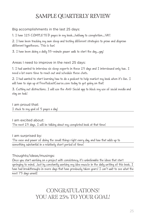### SAMPLE QUARTERLY REVIEW

#### Big accomplishments in the last 25 days:

1. I have 125 COMPLETED pages in my book…halfway to completion…YAY!

2. I have been tracking my own sleep and testing different strategies to prove and disprove different hypotheses. This is fun!

3. I have been doing a daily 35-minute power walk to start the day…yay!

#### Areas I need to improve in the next 25 days:

1. I had wanted to interview six sleep experts in these 25 days and I interviewed only two. I need a lot more time to reach out and schedule these chats.

2. I had wanted to start learning how to do a podcast to help market my book when it's live. I will have to sign up at FreePodcastCourse.com today to get going on that!

3. Cutting out distractions. I will use the Anti-Social app to block my use of social media and stay on task!

#### I am proud that: I stuck to my goal of 5 pages a day!

#### I am excited about: The next 25 days. I will be talking about my completed book at that time!

#### I am surprised by:

The ease and power of doing the small things right every day, and how that adds up to something substantial in a relatively short period of time!

#### Thoughts/ideas/musings:

Once you start working on a project with consistency, it's unbelievable the ideas that start springing to mind. Just by constantly working my idea muscle in the daily writing of this book, I have had breakthroughs in mere days that have previously taken years! I can't wait to see what the next 75 days unveil!

> CONGRATULATIONS! YOU ARE 25% TO YOUR GOAL!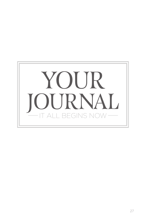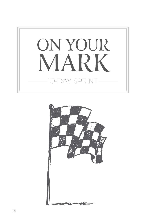

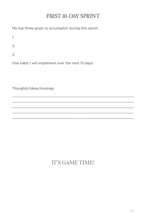### FIRST 10-DAY SPRINT

My top three goals to accomplish during this sprint:

1.

2.

3.

One habit I will implement over the next 10 days:

Thoughts/ideas/musings:

### IT'S GAME TIME!

\_\_\_\_\_\_\_\_\_\_\_\_\_\_\_\_\_\_\_\_\_\_\_\_\_\_\_\_\_\_\_\_\_\_\_\_\_\_\_\_\_\_\_\_\_\_\_\_\_\_\_\_\_\_\_\_\_\_\_\_  $\_$  , and the state of the state of the state of the state of the state of the state of the state of the state of the state of the state of the state of the state of the state of the state of the state of the state of the \_\_\_\_\_\_\_\_\_\_\_\_\_\_\_\_\_\_\_\_\_\_\_\_\_\_\_\_\_\_\_\_\_\_\_\_\_\_\_\_\_\_\_\_\_\_\_\_\_\_\_\_\_\_\_\_\_\_\_\_ \_\_\_\_\_\_\_\_\_\_\_\_\_\_\_\_\_\_\_\_\_\_\_\_\_\_\_\_\_\_\_\_\_\_\_\_\_\_\_\_\_\_\_\_\_\_\_\_\_\_\_\_\_\_\_\_\_\_\_\_  $\_$  , and the state of the state of the state of the state of the state of the state of the state of the state of the state of the state of the state of the state of the state of the state of the state of the state of the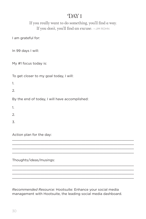### If you really want to do something, you'll find a way. If you don't, you'll find an excuse.  $-$ JIM ROHN

I am grateful for:

In 99 days I will:

My #1 focus today is:

To get closer to my goal today, I will:

1.

2.

By the end of today, I will have accomplished:

1.

 $\mathcal{L}$ 

3.

Action plan for the day:

Thoughts/ideas/musings:

*Recommended Resource:* Hootsuite: Enhance your social media management with Hootsuite, the leading social media dashboard.

\_\_\_\_\_\_\_\_\_\_\_\_\_\_\_\_\_\_\_\_\_\_\_\_\_\_\_\_\_\_\_\_\_\_\_\_\_\_\_\_\_\_\_\_\_\_\_\_\_\_\_\_\_\_\_\_\_\_\_\_  $\_$  , and the state of the state of the state of the state of the state of the state of the state of the state of the state of the state of the state of the state of the state of the state of the state of the state of the \_\_\_\_\_\_\_\_\_\_\_\_\_\_\_\_\_\_\_\_\_\_\_\_\_\_\_\_\_\_\_\_\_\_\_\_\_\_\_\_\_\_\_\_\_\_\_\_\_\_\_\_\_\_\_\_\_\_\_\_ \_\_\_\_\_\_\_\_\_\_\_\_\_\_\_\_\_\_\_\_\_\_\_\_\_\_\_\_\_\_\_\_\_\_\_\_\_\_\_\_\_\_\_\_\_\_\_\_\_\_\_\_\_\_\_\_\_\_\_\_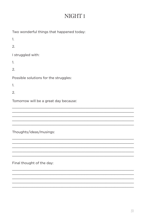### NIGHT<sub>1</sub>

<u> 1989 - Johann Harry Harry Harry Harry Harry Harry Harry Harry Harry Harry Harry Harry Harry Harry Harry Harry</u>

| Two wonderful things that happened today: |
|-------------------------------------------|
| 1.                                        |
| 2.                                        |
| I struggled with:                         |
| 1.                                        |
| 2.                                        |
| Possible solutions for the struggles:     |
| 1.                                        |
| 2.                                        |
| Tomorrow will be a great day because:     |
|                                           |
|                                           |
|                                           |
| Thoughts/ideas/musings:                   |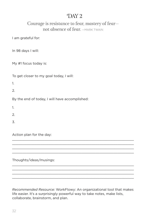### Courage is resistance to fear, mastery of fear not absence of fear. - MARK TWAIN

I am grateful for:

In 98 days I will:

My #1 focus today is:

To get closer to my goal today, I will:

1.

2.

By the end of today, I will have accomplished:

1.

 $\mathcal{L}$ 

3.

Action plan for the day:

Thoughts/ideas/musings:

*Recommended Resource:* WorkFlowy: An organizational tool that makes life easier. It's a surprisingly powerful way to take notes, make lists, collaborate, brainstorm, and plan.

\_\_\_\_\_\_\_\_\_\_\_\_\_\_\_\_\_\_\_\_\_\_\_\_\_\_\_\_\_\_\_\_\_\_\_\_\_\_\_\_\_\_\_\_\_\_\_\_\_\_\_\_\_\_\_\_\_\_\_\_  $\_$  , and the state of the state of the state of the state of the state of the state of the state of the state of the state of the state of the state of the state of the state of the state of the state of the state of the \_\_\_\_\_\_\_\_\_\_\_\_\_\_\_\_\_\_\_\_\_\_\_\_\_\_\_\_\_\_\_\_\_\_\_\_\_\_\_\_\_\_\_\_\_\_\_\_\_\_\_\_\_\_\_\_\_\_\_\_ \_\_\_\_\_\_\_\_\_\_\_\_\_\_\_\_\_\_\_\_\_\_\_\_\_\_\_\_\_\_\_\_\_\_\_\_\_\_\_\_\_\_\_\_\_\_\_\_\_\_\_\_\_\_\_\_\_\_\_\_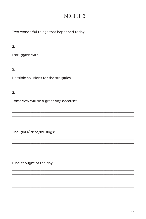### NIGHT<sub>2</sub>

| Two wonderful things that happened today: |
|-------------------------------------------|
| 1.                                        |
| 2.                                        |
| I struggled with:                         |
| 1.                                        |
| 2.                                        |
| Possible solutions for the struggles:     |
| 1.                                        |
| 2.                                        |
| Tomorrow will be a great day because:     |
|                                           |
|                                           |
|                                           |
|                                           |

Thoughts/ideas/musings: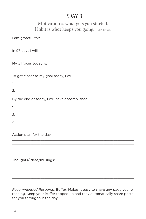### Motivation is what gets you started. Habit is what keeps you going.  $-$ JIM RYUN

I am grateful for:

In 97 days I will:

My #1 focus today is:

To get closer to my goal today, I will:

1.

2.

By the end of today, I will have accomplished:

1.

 $\mathcal{L}$ 

3.

Action plan for the day:

Thoughts/ideas/musings:

*Recommended Resource:* Buffer: Makes it easy to share any page you're reading. Keep your Buffer topped up and they automatically share posts for you throughout the day.

\_\_\_\_\_\_\_\_\_\_\_\_\_\_\_\_\_\_\_\_\_\_\_\_\_\_\_\_\_\_\_\_\_\_\_\_\_\_\_\_\_\_\_\_\_\_\_\_\_\_\_\_\_\_\_\_\_\_\_\_  $\_$  , and the state of the state of the state of the state of the state of the state of the state of the state of the state of the state of the state of the state of the state of the state of the state of the state of the \_\_\_\_\_\_\_\_\_\_\_\_\_\_\_\_\_\_\_\_\_\_\_\_\_\_\_\_\_\_\_\_\_\_\_\_\_\_\_\_\_\_\_\_\_\_\_\_\_\_\_\_\_\_\_\_\_\_\_\_ \_\_\_\_\_\_\_\_\_\_\_\_\_\_\_\_\_\_\_\_\_\_\_\_\_\_\_\_\_\_\_\_\_\_\_\_\_\_\_\_\_\_\_\_\_\_\_\_\_\_\_\_\_\_\_\_\_\_\_\_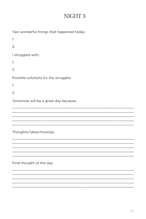### NIGHT 3

<u> 1989 - Johann Harry Harry Harry Harry Harry Harry Harry Harry Harry Harry Harry Harry Harry Harry Harry Harry</u>

| Two wonderful things that happened today: |
|-------------------------------------------|
| 1.                                        |
| $\mathfrak{D}$                            |
| I struggled with:                         |
| 1.                                        |
| 2.                                        |
| Possible solutions for the struggles:     |
| 1.                                        |
| 2.                                        |
| Tomorrow will be a great day because:     |
|                                           |
|                                           |
|                                           |
| Thoughts/ideas/musings:                   |

Final thought of the day: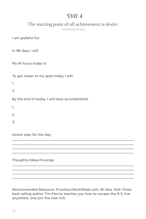The starting point of all achievement is desire.

—NAPOLEON HILL

I am grateful for:

In 96 days I will:

My #1 focus today is:

To get closer to my goal today, I will:

1.

2.

By the end of today, I will have accomplished:

1.

 $\mathcal{L}$ 

3.

Action plan for the day:

Thoughts/ideas/musings:

*Recommended Resource:* FourHourWorkWeek.com: #1 *New York Times* best-selling author Tim Ferriss teaches you how to escape the 9-5, live anywhere, and join the new rich.

\_\_\_\_\_\_\_\_\_\_\_\_\_\_\_\_\_\_\_\_\_\_\_\_\_\_\_\_\_\_\_\_\_\_\_\_\_\_\_\_\_\_\_\_\_\_\_\_\_\_\_\_\_\_\_\_\_\_\_\_  $\_$  , and the state of the state of the state of the state of the state of the state of the state of the state of the state of the state of the state of the state of the state of the state of the state of the state of the \_\_\_\_\_\_\_\_\_\_\_\_\_\_\_\_\_\_\_\_\_\_\_\_\_\_\_\_\_\_\_\_\_\_\_\_\_\_\_\_\_\_\_\_\_\_\_\_\_\_\_\_\_\_\_\_\_\_\_\_ \_\_\_\_\_\_\_\_\_\_\_\_\_\_\_\_\_\_\_\_\_\_\_\_\_\_\_\_\_\_\_\_\_\_\_\_\_\_\_\_\_\_\_\_\_\_\_\_\_\_\_\_\_\_\_\_\_\_\_\_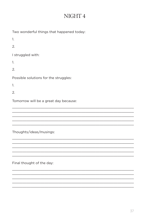### NIGHT 4

<u> 1980 - Johann Stoff, amerikansk politik (d. 1980)</u>

| Two wonderful things that happened today: |
|-------------------------------------------|
| 1.                                        |
| 2.                                        |
| I struggled with:                         |
| 1.                                        |
| 2.                                        |
| Possible solutions for the struggles:     |
| 1.                                        |
| $\mathfrak{D}$                            |
| Tomorrow will be a great day because:     |
|                                           |
|                                           |
|                                           |
| Thoughts/ideas/musings:                   |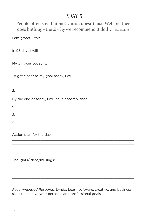People often say that motivation doesn't last. Well, neither does bathing-that's why we recommend it daily.  $-z$ IG ZIGLAR

I am grateful for:

In 95 days I will:

My #1 focus today is:

To get closer to my goal today, I will:

1.

2.

By the end of today, I will have accomplished:

1.

 $\mathcal{L}$ 

3.

Action plan for the day:

Thoughts/ideas/musings:

*Recommended Resource:* Lynda: Learn software, creative, and business skills to achieve your personal and professional goals.

\_\_\_\_\_\_\_\_\_\_\_\_\_\_\_\_\_\_\_\_\_\_\_\_\_\_\_\_\_\_\_\_\_\_\_\_\_\_\_\_\_\_\_\_\_\_\_\_\_\_\_\_\_\_\_\_\_\_\_\_  $\_$  , and the state of the state of the state of the state of the state of the state of the state of the state of the state of the state of the state of the state of the state of the state of the state of the state of the \_\_\_\_\_\_\_\_\_\_\_\_\_\_\_\_\_\_\_\_\_\_\_\_\_\_\_\_\_\_\_\_\_\_\_\_\_\_\_\_\_\_\_\_\_\_\_\_\_\_\_\_\_\_\_\_\_\_\_\_ \_\_\_\_\_\_\_\_\_\_\_\_\_\_\_\_\_\_\_\_\_\_\_\_\_\_\_\_\_\_\_\_\_\_\_\_\_\_\_\_\_\_\_\_\_\_\_\_\_\_\_\_\_\_\_\_\_\_\_\_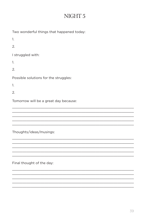### NIGHT 5

<u> 1989 - Johann Harry Harry Harry Harry Harry Harry Harry Harry Harry Harry Harry Harry Harry Harry Harry Harry</u>

| Two wonderful things that happened today: |
|-------------------------------------------|
| 1.                                        |
| 2.                                        |
| I struggled with:                         |
| 1.                                        |
| 2.                                        |
| Possible solutions for the struggles:     |
| 1.                                        |
| 2.                                        |
| Tomorrow will be a great day because:     |
|                                           |
|                                           |
|                                           |
| Thoughts/ideas/musings:                   |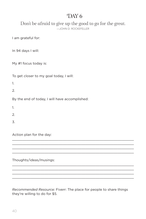Don't be afraid to give up the good to go for the great. —JOHN D. ROCKEFELLER

I am grateful for:

In 94 days I will:

My #1 focus today is:

To get closer to my goal today, I will:

1.

2.

By the end of today, I will have accomplished:

1.

 $\mathcal{L}$ 

3.

Action plan for the day:

Thoughts/ideas/musings:

*Recommended Resource:* Fiverr: The place for people to share things they're willing to do for \$5.

\_\_\_\_\_\_\_\_\_\_\_\_\_\_\_\_\_\_\_\_\_\_\_\_\_\_\_\_\_\_\_\_\_\_\_\_\_\_\_\_\_\_\_\_\_\_\_\_\_\_\_\_\_\_\_\_\_\_\_\_  $\_$  , and the state of the state of the state of the state of the state of the state of the state of the state of the state of the state of the state of the state of the state of the state of the state of the state of the \_\_\_\_\_\_\_\_\_\_\_\_\_\_\_\_\_\_\_\_\_\_\_\_\_\_\_\_\_\_\_\_\_\_\_\_\_\_\_\_\_\_\_\_\_\_\_\_\_\_\_\_\_\_\_\_\_\_\_\_ \_\_\_\_\_\_\_\_\_\_\_\_\_\_\_\_\_\_\_\_\_\_\_\_\_\_\_\_\_\_\_\_\_\_\_\_\_\_\_\_\_\_\_\_\_\_\_\_\_\_\_\_\_\_\_\_\_\_\_\_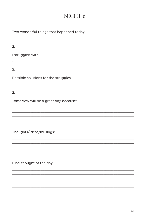### NIGHT<sub>6</sub>

| Two wonderful things that happened today: |
|-------------------------------------------|
| 1.                                        |
| 2.                                        |
| I struggled with:                         |
| 1.                                        |
| 2.                                        |
| Possible solutions for the struggles:     |
| 1.                                        |
| 2.                                        |
| Tomorrow will be a great day because:     |
|                                           |
|                                           |
|                                           |
| Thoughts/ideas/musings:                   |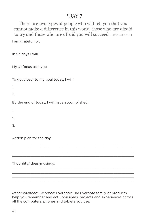I am grateful for: There are two types of people who will tell you that you cannot make a difference in this world: those who are afraid to try and those who are afraid you will succeed. - RAY GOFORTH

In 93 days I will:

My #1 focus today is:

To get closer to my goal today, I will:

1.

 $\mathcal{L}$ 

By the end of today, I will have accomplished:

1.

2.

3.

Action plan for the day:

Thoughts/ideas/musings:

*Recommended Resource:* Evernote: The Evernote family of products help you remember and act upon ideas, projects and experiences across all the computers, phones and tablets you use.

\_\_\_\_\_\_\_\_\_\_\_\_\_\_\_\_\_\_\_\_\_\_\_\_\_\_\_\_\_\_\_\_\_\_\_\_\_\_\_\_\_\_\_\_\_\_\_\_\_\_\_\_\_\_\_\_\_\_\_\_  $\_$  , and the state of the state of the state of the state of the state of the state of the state of the state of the state of the state of the state of the state of the state of the state of the state of the state of the \_\_\_\_\_\_\_\_\_\_\_\_\_\_\_\_\_\_\_\_\_\_\_\_\_\_\_\_\_\_\_\_\_\_\_\_\_\_\_\_\_\_\_\_\_\_\_\_\_\_\_\_\_\_\_\_\_\_\_\_ \_\_\_\_\_\_\_\_\_\_\_\_\_\_\_\_\_\_\_\_\_\_\_\_\_\_\_\_\_\_\_\_\_\_\_\_\_\_\_\_\_\_\_\_\_\_\_\_\_\_\_\_\_\_\_\_\_\_\_\_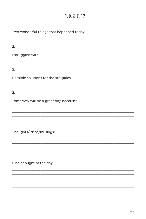### NIGHT7

| Two wonderful things that happened today: |
|-------------------------------------------|
| 1.                                        |
| 2.                                        |
| I struggled with:                         |
| 1.                                        |
| 2.                                        |
| Possible solutions for the struggles:     |
| 1.                                        |
| $\mathfrak{D}$                            |
| Tomorrow will be a great day because:     |
|                                           |
|                                           |
|                                           |
| Thoughts/ideas/musings:                   |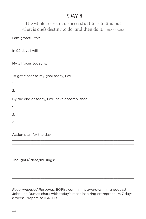### DAY<sub>8</sub>

The whole secret of a successful life is to find out what is one's destiny to do, and then do it.  $-$ HENRY FORD

I am grateful for:

In 92 days I will:

My #1 focus today is:

To get closer to my goal today, I will:

1.

2.

By the end of today, I will have accomplished:

1.

 $\mathcal{L}$ 

3.

Action plan for the day:

Thoughts/ideas/musings:

*Recommended Resource:* EOFire.com: In his award-winning podcast, John Lee Dumas chats with today's most inspiring entrepreneurs 7 days a week. Prepare to IGNITE!

\_\_\_\_\_\_\_\_\_\_\_\_\_\_\_\_\_\_\_\_\_\_\_\_\_\_\_\_\_\_\_\_\_\_\_\_\_\_\_\_\_\_\_\_\_\_\_\_\_\_\_\_\_\_\_\_\_\_\_\_  $\_$  , and the state of the state of the state of the state of the state of the state of the state of the state of the state of the state of the state of the state of the state of the state of the state of the state of the \_\_\_\_\_\_\_\_\_\_\_\_\_\_\_\_\_\_\_\_\_\_\_\_\_\_\_\_\_\_\_\_\_\_\_\_\_\_\_\_\_\_\_\_\_\_\_\_\_\_\_\_\_\_\_\_\_\_\_\_ \_\_\_\_\_\_\_\_\_\_\_\_\_\_\_\_\_\_\_\_\_\_\_\_\_\_\_\_\_\_\_\_\_\_\_\_\_\_\_\_\_\_\_\_\_\_\_\_\_\_\_\_\_\_\_\_\_\_\_\_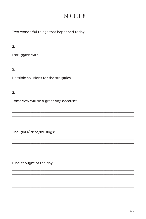### NIGHT 8

| Two wonderful things that happened today: |
|-------------------------------------------|
| 1.                                        |
| 2.                                        |
| I struggled with:                         |
| 1.                                        |
| 2.                                        |
| Possible solutions for the struggles:     |
| 1.                                        |
| 2.                                        |
| Tomorrow will be a great day because:     |
|                                           |
|                                           |
|                                           |
| Thoughts/ideas/musings:                   |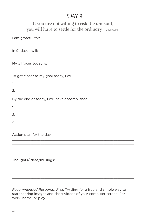#### If you are not willing to risk the unusual, you will have to settle for the ordinary.  $-$ JIM ROHN

I am grateful for:

In 91 days I will:

My #1 focus today is:

To get closer to my goal today, I will:

1.

2.

By the end of today, I will have accomplished:

1.

 $\mathcal{L}$ 

3.

Action plan for the day:

Thoughts/ideas/musings:

*Recommended Resource:* Jing: Try Jing for a free and simple way to start sharing images and short videos of your computer screen. For work, home, or play.

\_\_\_\_\_\_\_\_\_\_\_\_\_\_\_\_\_\_\_\_\_\_\_\_\_\_\_\_\_\_\_\_\_\_\_\_\_\_\_\_\_\_\_\_\_\_\_\_\_\_\_\_\_\_\_\_\_\_\_\_  $\_$  , and the state of the state of the state of the state of the state of the state of the state of the state of the state of the state of the state of the state of the state of the state of the state of the state of the \_\_\_\_\_\_\_\_\_\_\_\_\_\_\_\_\_\_\_\_\_\_\_\_\_\_\_\_\_\_\_\_\_\_\_\_\_\_\_\_\_\_\_\_\_\_\_\_\_\_\_\_\_\_\_\_\_\_\_\_ \_\_\_\_\_\_\_\_\_\_\_\_\_\_\_\_\_\_\_\_\_\_\_\_\_\_\_\_\_\_\_\_\_\_\_\_\_\_\_\_\_\_\_\_\_\_\_\_\_\_\_\_\_\_\_\_\_\_\_\_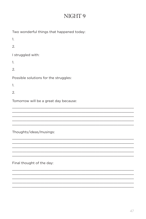## NIGHT 9

| Two wonderful things that happened today: |
|-------------------------------------------|
| 1.                                        |
| 2.                                        |
| I struggled with:                         |
| 1.                                        |
| 2.                                        |
| Possible solutions for the struggles:     |
| 1.                                        |
| 2.                                        |
| Tomorrow will be a great day because:     |
|                                           |
|                                           |
|                                           |
| Thoughts/ideas/musings:                   |

Final thought of the day:

the control of the control of the control of the control of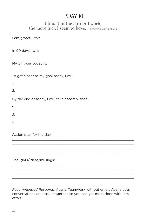#### I find that the harder I work, the more luck I seem to have. —THOMAS JEFFERSON

I am grateful for:

In 90 days I will:

My #1 focus today is:

To get closer to my goal today, I will:

1.

2.

By the end of today, I will have accomplished:

1.

 $\mathcal{L}$ 

3.

Action plan for the day:

Thoughts/ideas/musings:

*Recommended Resource:* Asana: Teamwork without email. Asana puts conversations and tasks together, so you can get more done with less effort.

\_\_\_\_\_\_\_\_\_\_\_\_\_\_\_\_\_\_\_\_\_\_\_\_\_\_\_\_\_\_\_\_\_\_\_\_\_\_\_\_\_\_\_\_\_\_\_\_\_\_\_\_\_\_\_\_\_\_\_\_  $\_$  , and the state of the state of the state of the state of the state of the state of the state of the state of the state of the state of the state of the state of the state of the state of the state of the state of the \_\_\_\_\_\_\_\_\_\_\_\_\_\_\_\_\_\_\_\_\_\_\_\_\_\_\_\_\_\_\_\_\_\_\_\_\_\_\_\_\_\_\_\_\_\_\_\_\_\_\_\_\_\_\_\_\_\_\_\_ \_\_\_\_\_\_\_\_\_\_\_\_\_\_\_\_\_\_\_\_\_\_\_\_\_\_\_\_\_\_\_\_\_\_\_\_\_\_\_\_\_\_\_\_\_\_\_\_\_\_\_\_\_\_\_\_\_\_\_\_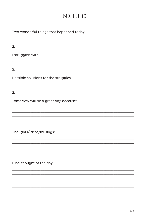## NIGHT<sub>10</sub>

| Two wonderful things that happened today: |
|-------------------------------------------|
| 1.                                        |
| 2.                                        |
| I struggled with:                         |
| 1.                                        |
| 2.                                        |
| Possible solutions for the struggles:     |
| 1.                                        |
| 2.                                        |
| Tomorrow will be a great day because:     |
|                                           |
|                                           |
|                                           |
|                                           |

Thoughts/ideas/musings: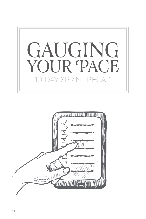

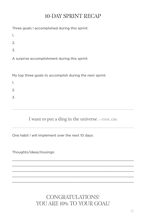## 10-DAY SPRINT RECAP

Three goals I accomplished during this sprint:

1.

2.

3.

A surprise accomplishment during this sprint:

My top three goals to accomplish during the next sprint:

1.

2.

3.

I want to put a ding in the universe.  $-$ STEVE JOBS

\_\_\_\_\_\_\_\_\_\_\_\_\_\_\_\_\_\_\_\_\_\_\_\_\_\_\_\_\_\_\_\_\_\_\_\_\_\_\_\_\_\_\_\_\_\_\_\_\_\_\_\_\_\_\_\_\_\_\_\_ \_\_\_\_\_\_\_\_\_\_\_\_\_\_\_\_\_\_\_\_\_\_\_\_\_\_\_\_\_\_\_\_\_\_\_\_\_\_\_\_\_\_\_\_\_\_\_\_\_\_\_\_\_\_\_\_\_\_\_\_  $\_$  , and the state of the state of the state of the state of the state of the state of the state of the state of the state of the state of the state of the state of the state of the state of the state of the state of the \_\_\_\_\_\_\_\_\_\_\_\_\_\_\_\_\_\_\_\_\_\_\_\_\_\_\_\_\_\_\_\_\_\_\_\_\_\_\_\_\_\_\_\_\_\_\_\_\_\_\_\_\_\_\_\_\_\_\_\_ \_\_\_\_\_\_\_\_\_\_\_\_\_\_\_\_\_\_\_\_\_\_\_\_\_\_\_\_\_\_\_\_\_\_\_\_\_\_\_\_\_\_\_\_\_\_\_\_\_\_\_\_\_\_\_\_\_\_\_\_

One habit I will implement over the next 10 days:

Thoughts/ideas/musings:

CONGRATULATIONS! YOU ARE 10% TO YOUR GOAL!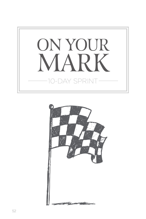

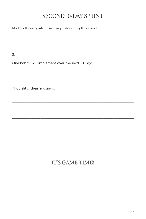## SECOND 10-DAY SPRINT

My top three goals to accomplish during this sprint:

1.

2.

3.

One habit I will implement over the next 10 days:

Thoughts/ideas/musings:

# IT'S GAME TIME!

\_\_\_\_\_\_\_\_\_\_\_\_\_\_\_\_\_\_\_\_\_\_\_\_\_\_\_\_\_\_\_\_\_\_\_\_\_\_\_\_\_\_\_\_\_\_\_\_\_\_\_\_\_\_\_\_\_\_\_\_  $\_$  , and the state of the state of the state of the state of the state of the state of the state of the state of the state of the state of the state of the state of the state of the state of the state of the state of the \_\_\_\_\_\_\_\_\_\_\_\_\_\_\_\_\_\_\_\_\_\_\_\_\_\_\_\_\_\_\_\_\_\_\_\_\_\_\_\_\_\_\_\_\_\_\_\_\_\_\_\_\_\_\_\_\_\_\_\_ \_\_\_\_\_\_\_\_\_\_\_\_\_\_\_\_\_\_\_\_\_\_\_\_\_\_\_\_\_\_\_\_\_\_\_\_\_\_\_\_\_\_\_\_\_\_\_\_\_\_\_\_\_\_\_\_\_\_\_\_  $\_$  , and the state of the state of the state of the state of the state of the state of the state of the state of the state of the state of the state of the state of the state of the state of the state of the state of the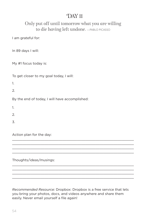#### Only put off until tomorrow what you are willing to die having left undone. —PABLO PICASSO

I am grateful for:

In 89 days I will:

My #1 focus today is:

To get closer to my goal today, I will:

1.

2.

By the end of today, I will have accomplished:

1.

 $\mathcal{L}$ 

3.

Action plan for the day:

Thoughts/ideas/musings:

*Recommended Resource:* Dropbox: Dropbox is a free service that lets you bring your photos, docs, and videos anywhere and share them easily. Never email yourself a file again!

\_\_\_\_\_\_\_\_\_\_\_\_\_\_\_\_\_\_\_\_\_\_\_\_\_\_\_\_\_\_\_\_\_\_\_\_\_\_\_\_\_\_\_\_\_\_\_\_\_\_\_\_\_\_\_\_\_\_\_\_  $\_$  , and the state of the state of the state of the state of the state of the state of the state of the state of the state of the state of the state of the state of the state of the state of the state of the state of the \_\_\_\_\_\_\_\_\_\_\_\_\_\_\_\_\_\_\_\_\_\_\_\_\_\_\_\_\_\_\_\_\_\_\_\_\_\_\_\_\_\_\_\_\_\_\_\_\_\_\_\_\_\_\_\_\_\_\_\_ \_\_\_\_\_\_\_\_\_\_\_\_\_\_\_\_\_\_\_\_\_\_\_\_\_\_\_\_\_\_\_\_\_\_\_\_\_\_\_\_\_\_\_\_\_\_\_\_\_\_\_\_\_\_\_\_\_\_\_\_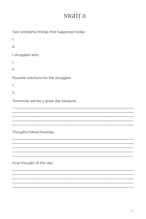## NIGHT<sub>11</sub>

| Two wonderful things that happened today: |
|-------------------------------------------|
| 1.                                        |
| 2.                                        |
| I struggled with:                         |
| 1.                                        |
| 2.                                        |
| Possible solutions for the struggles:     |
| 1.                                        |
| $\mathcal{P}$                             |
| Tomorrow will be a great day because:     |
|                                           |
|                                           |
|                                           |
| Thoughts/ideas/musings:                   |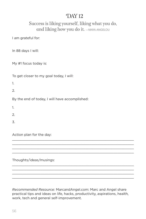#### Success is liking yourself, liking what you do, and liking how you do it.  $-MAYA ANGELOU$

I am grateful for:

In 88 days I will:

My #1 focus today is:

To get closer to my goal today, I will:

1.

2.

By the end of today, I will have accomplished:

1.

 $\mathcal{L}$ 

3.

Action plan for the day:

Thoughts/ideas/musings:

*Recommended Resource:* MarcandAngel.com: Marc and Angel share practical tips and ideas on life, hacks, productivity, aspirations, health, work, tech and general self-improvement.

\_\_\_\_\_\_\_\_\_\_\_\_\_\_\_\_\_\_\_\_\_\_\_\_\_\_\_\_\_\_\_\_\_\_\_\_\_\_\_\_\_\_\_\_\_\_\_\_\_\_\_\_\_\_\_\_\_\_\_\_  $\_$  , and the state of the state of the state of the state of the state of the state of the state of the state of the state of the state of the state of the state of the state of the state of the state of the state of the \_\_\_\_\_\_\_\_\_\_\_\_\_\_\_\_\_\_\_\_\_\_\_\_\_\_\_\_\_\_\_\_\_\_\_\_\_\_\_\_\_\_\_\_\_\_\_\_\_\_\_\_\_\_\_\_\_\_\_\_ \_\_\_\_\_\_\_\_\_\_\_\_\_\_\_\_\_\_\_\_\_\_\_\_\_\_\_\_\_\_\_\_\_\_\_\_\_\_\_\_\_\_\_\_\_\_\_\_\_\_\_\_\_\_\_\_\_\_\_\_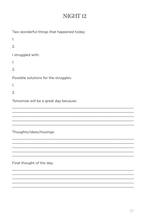## NIGHT<sub>12</sub>

| Two wonderful things that happened today: |
|-------------------------------------------|
| 1.                                        |
| 2.                                        |
| I struggled with:                         |
| 1.                                        |
| 2.                                        |
| Possible solutions for the struggles:     |
| 1.                                        |
| 2.                                        |
| Tomorrow will be a great day because:     |
|                                           |
|                                           |
|                                           |
|                                           |

Thoughts/ideas/musings: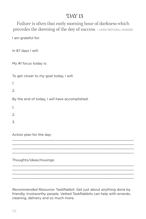Failure is often that early morning hour of darkness which precedes the dawning of the day of success.  $-$ LEIGH MITCHELL HODGES

I am grateful for:

In 87 days I will:

My #1 focus today is:

To get closer to my goal today, I will:

1.

2.

By the end of today, I will have accomplished:

1.

 $\mathcal{L}$ 

3.

Action plan for the day:

Thoughts/ideas/musings:

*Recommended Resource:* TaskRabbit: Get just about anything done by friendly, trustworthy people. Vetted TaskRabbits can help with errands, cleaning, delivery and so much more.

\_\_\_\_\_\_\_\_\_\_\_\_\_\_\_\_\_\_\_\_\_\_\_\_\_\_\_\_\_\_\_\_\_\_\_\_\_\_\_\_\_\_\_\_\_\_\_\_\_\_\_\_\_\_\_\_\_\_\_\_  $\_$  , and the state of the state of the state of the state of the state of the state of the state of the state of the state of the state of the state of the state of the state of the state of the state of the state of the \_\_\_\_\_\_\_\_\_\_\_\_\_\_\_\_\_\_\_\_\_\_\_\_\_\_\_\_\_\_\_\_\_\_\_\_\_\_\_\_\_\_\_\_\_\_\_\_\_\_\_\_\_\_\_\_\_\_\_\_ \_\_\_\_\_\_\_\_\_\_\_\_\_\_\_\_\_\_\_\_\_\_\_\_\_\_\_\_\_\_\_\_\_\_\_\_\_\_\_\_\_\_\_\_\_\_\_\_\_\_\_\_\_\_\_\_\_\_\_\_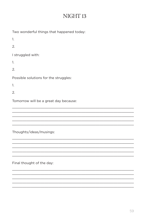## NIGHT<sub>13</sub>

| Two wonderful things that happened today: |
|-------------------------------------------|
| 1.                                        |
| 2.                                        |
| I struggled with:                         |
| 1.                                        |
| 2.                                        |
| Possible solutions for the struggles:     |
| 1.                                        |
| 2.                                        |
| Tomorrow will be a great day because:     |
|                                           |
|                                           |
|                                           |
|                                           |

Thoughts/ideas/musings: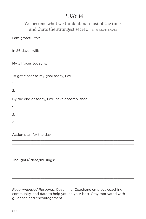We become what we think about most of the time, and that's the strangest secret. - EARL NIGHTINGALE

I am grateful for:

In 86 days I will:

My #1 focus today is:

To get closer to my goal today, I will:

1.

2.

By the end of today, I will have accomplished:

1.

 $\mathcal{L}$ 

3.

Action plan for the day:

Thoughts/ideas/musings:

*Recommended Resource:* Coach.me: Coach.me employs coaching, community, and data to help you be your best. Stay motivated with guidance and encouragement.

\_\_\_\_\_\_\_\_\_\_\_\_\_\_\_\_\_\_\_\_\_\_\_\_\_\_\_\_\_\_\_\_\_\_\_\_\_\_\_\_\_\_\_\_\_\_\_\_\_\_\_\_\_\_\_\_\_\_\_\_  $\_$  , and the state of the state of the state of the state of the state of the state of the state of the state of the state of the state of the state of the state of the state of the state of the state of the state of the \_\_\_\_\_\_\_\_\_\_\_\_\_\_\_\_\_\_\_\_\_\_\_\_\_\_\_\_\_\_\_\_\_\_\_\_\_\_\_\_\_\_\_\_\_\_\_\_\_\_\_\_\_\_\_\_\_\_\_\_ \_\_\_\_\_\_\_\_\_\_\_\_\_\_\_\_\_\_\_\_\_\_\_\_\_\_\_\_\_\_\_\_\_\_\_\_\_\_\_\_\_\_\_\_\_\_\_\_\_\_\_\_\_\_\_\_\_\_\_\_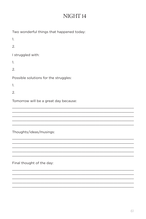## NIGHT<sub>14</sub>

| Two wonderful things that happened today: |
|-------------------------------------------|
| 1.                                        |
| 2.                                        |
| I struggled with:                         |
| 1.                                        |
| 2.                                        |
| Possible solutions for the struggles:     |
| 1.                                        |
| 2.                                        |
| Tomorrow will be a great day because:     |
|                                           |
|                                           |
|                                           |
|                                           |

Thoughts/ideas/musings: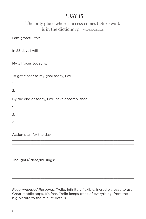#### The only place where success comes before work is in the dictionary. - VIDAL SASSOON

I am grateful for:

In 85 days I will:

My #1 focus today is:

To get closer to my goal today, I will:

1.

2.

By the end of today, I will have accomplished:

1.

 $\mathcal{L}$ 

3.

Action plan for the day:

Thoughts/ideas/musings:

*Recommended Resource:* Trello: Infinitely flexible. Incredibly easy to use. Great mobile apps. It's free. Trello keeps track of everything, from the big picture to the minute details.

\_\_\_\_\_\_\_\_\_\_\_\_\_\_\_\_\_\_\_\_\_\_\_\_\_\_\_\_\_\_\_\_\_\_\_\_\_\_\_\_\_\_\_\_\_\_\_\_\_\_\_\_\_\_\_\_\_\_\_\_  $\_$  , and the state of the state of the state of the state of the state of the state of the state of the state of the state of the state of the state of the state of the state of the state of the state of the state of the \_\_\_\_\_\_\_\_\_\_\_\_\_\_\_\_\_\_\_\_\_\_\_\_\_\_\_\_\_\_\_\_\_\_\_\_\_\_\_\_\_\_\_\_\_\_\_\_\_\_\_\_\_\_\_\_\_\_\_\_ \_\_\_\_\_\_\_\_\_\_\_\_\_\_\_\_\_\_\_\_\_\_\_\_\_\_\_\_\_\_\_\_\_\_\_\_\_\_\_\_\_\_\_\_\_\_\_\_\_\_\_\_\_\_\_\_\_\_\_\_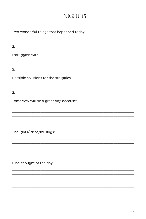## NIGHT<sub>15</sub>

| Two wonderful things that happened today: |
|-------------------------------------------|
| 1.                                        |
| 2.                                        |
| I struggled with:                         |
| 1.                                        |
| 2.                                        |
| Possible solutions for the struggles:     |
| 1.                                        |
| 2.                                        |
| Tomorrow will be a great day because:     |
|                                           |
|                                           |
|                                           |
|                                           |

Thoughts/ideas/musings: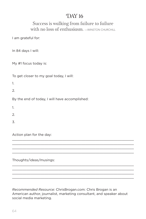#### Success is walking from failure to failure with no loss of enthusiasm. - WINSTON CHURCHILL

I am grateful for:

In 84 days I will:

My #1 focus today is:

To get closer to my goal today, I will:

1.

2.

By the end of today, I will have accomplished:

1.

 $\mathcal{L}$ 

3.

Action plan for the day:

Thoughts/ideas/musings:

*Recommended Resource:* ChrisBrogan.com: Chris Brogan is an American author, journalist, marketing consultant, and speaker about social media marketing.

\_\_\_\_\_\_\_\_\_\_\_\_\_\_\_\_\_\_\_\_\_\_\_\_\_\_\_\_\_\_\_\_\_\_\_\_\_\_\_\_\_\_\_\_\_\_\_\_\_\_\_\_\_\_\_\_\_\_\_\_  $\_$  , and the state of the state of the state of the state of the state of the state of the state of the state of the state of the state of the state of the state of the state of the state of the state of the state of the \_\_\_\_\_\_\_\_\_\_\_\_\_\_\_\_\_\_\_\_\_\_\_\_\_\_\_\_\_\_\_\_\_\_\_\_\_\_\_\_\_\_\_\_\_\_\_\_\_\_\_\_\_\_\_\_\_\_\_\_ \_\_\_\_\_\_\_\_\_\_\_\_\_\_\_\_\_\_\_\_\_\_\_\_\_\_\_\_\_\_\_\_\_\_\_\_\_\_\_\_\_\_\_\_\_\_\_\_\_\_\_\_\_\_\_\_\_\_\_\_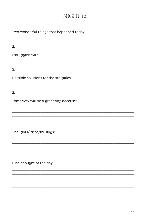## NIGHT<sub>16</sub>

| Two wonderful things that happened today: |
|-------------------------------------------|
| 1.                                        |
| 2.                                        |
| I struggled with:                         |
| 1.                                        |
| 2.                                        |
| Possible solutions for the struggles:     |
| 1.                                        |
| 2.                                        |
| Tomorrow will be a great day because:     |
|                                           |
|                                           |
|                                           |
|                                           |

Thoughts/ideas/musings: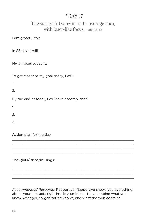#### The successful warrior is the average man, with laser-like focus. - BRUCE LEE

I am grateful for:

In 83 days I will:

My #1 focus today is:

To get closer to my goal today, I will:

1.

2.

By the end of today, I will have accomplished:

1.

 $\mathcal{L}$ 

3.

Action plan for the day:

Thoughts/ideas/musings:

*Recommended Resource:* Rapportive: Rapportive shows you everything about your contacts right inside your inbox. They combine what you know, what your organization knows, and what the web contains.

\_\_\_\_\_\_\_\_\_\_\_\_\_\_\_\_\_\_\_\_\_\_\_\_\_\_\_\_\_\_\_\_\_\_\_\_\_\_\_\_\_\_\_\_\_\_\_\_\_\_\_\_\_\_\_\_\_\_\_\_  $\_$  , and the state of the state of the state of the state of the state of the state of the state of the state of the state of the state of the state of the state of the state of the state of the state of the state of the \_\_\_\_\_\_\_\_\_\_\_\_\_\_\_\_\_\_\_\_\_\_\_\_\_\_\_\_\_\_\_\_\_\_\_\_\_\_\_\_\_\_\_\_\_\_\_\_\_\_\_\_\_\_\_\_\_\_\_\_ \_\_\_\_\_\_\_\_\_\_\_\_\_\_\_\_\_\_\_\_\_\_\_\_\_\_\_\_\_\_\_\_\_\_\_\_\_\_\_\_\_\_\_\_\_\_\_\_\_\_\_\_\_\_\_\_\_\_\_\_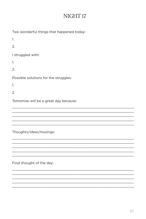## NIGHT<sub>17</sub>

| Two wonderful things that happened today: |
|-------------------------------------------|
| 1.                                        |
| 2.                                        |
| I struggled with:                         |
| 1.                                        |
| 2.                                        |
| Possible solutions for the struggles:     |
| 1.                                        |
| 2.                                        |
| Tomorrow will be a great day because:     |
|                                           |
|                                           |
|                                           |
|                                           |

Thoughts/ideas/musings: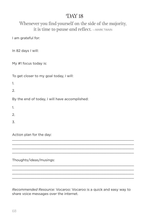#### Whenever you find yourself on the side of the majority, it is time to pause and reflect.  $-$ MARK TWAIN

I am grateful for:

In 82 days I will:

My #1 focus today is:

To get closer to my goal today, I will:

1.

2.

By the end of today, I will have accomplished:

1.

 $\mathcal{L}$ 

3.

Action plan for the day:

Thoughts/ideas/musings:

*Recommended Resource:* Vocaroo: Vocaroo is a quick and easy way to share voice messages over the internet.

\_\_\_\_\_\_\_\_\_\_\_\_\_\_\_\_\_\_\_\_\_\_\_\_\_\_\_\_\_\_\_\_\_\_\_\_\_\_\_\_\_\_\_\_\_\_\_\_\_\_\_\_\_\_\_\_\_\_\_\_  $\_$  , and the state of the state of the state of the state of the state of the state of the state of the state of the state of the state of the state of the state of the state of the state of the state of the state of the \_\_\_\_\_\_\_\_\_\_\_\_\_\_\_\_\_\_\_\_\_\_\_\_\_\_\_\_\_\_\_\_\_\_\_\_\_\_\_\_\_\_\_\_\_\_\_\_\_\_\_\_\_\_\_\_\_\_\_\_ \_\_\_\_\_\_\_\_\_\_\_\_\_\_\_\_\_\_\_\_\_\_\_\_\_\_\_\_\_\_\_\_\_\_\_\_\_\_\_\_\_\_\_\_\_\_\_\_\_\_\_\_\_\_\_\_\_\_\_\_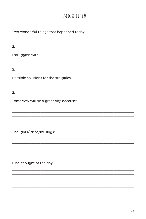## NIGHT<sub>18</sub>

| Two wonderful things that happened today: |
|-------------------------------------------|
| 1.                                        |
| 2.                                        |
| I struggled with:                         |
| 1.                                        |
| 2.                                        |
| Possible solutions for the struggles:     |
| 1.                                        |
| 2.                                        |
| Tomorrow will be a great day because:     |
|                                           |
|                                           |
|                                           |

Thoughts/ideas/musings: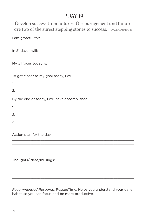Develop success from failures. Discouragement and failure are two of the surest stepping stones to success. —DALE CARNEGIE

I am grateful for:

In 81 days I will:

My #1 focus today is:

To get closer to my goal today, I will:

1.

2.

By the end of today, I will have accomplished:

1.

 $\mathcal{L}$ 

3.

Action plan for the day:

Thoughts/ideas/musings:

*Recommended Resource:* RescueTime: Helps you understand your daily habits so you can focus and be more productive.

\_\_\_\_\_\_\_\_\_\_\_\_\_\_\_\_\_\_\_\_\_\_\_\_\_\_\_\_\_\_\_\_\_\_\_\_\_\_\_\_\_\_\_\_\_\_\_\_\_\_\_\_\_\_\_\_\_\_\_\_  $\_$  , and the state of the state of the state of the state of the state of the state of the state of the state of the state of the state of the state of the state of the state of the state of the state of the state of the \_\_\_\_\_\_\_\_\_\_\_\_\_\_\_\_\_\_\_\_\_\_\_\_\_\_\_\_\_\_\_\_\_\_\_\_\_\_\_\_\_\_\_\_\_\_\_\_\_\_\_\_\_\_\_\_\_\_\_\_ \_\_\_\_\_\_\_\_\_\_\_\_\_\_\_\_\_\_\_\_\_\_\_\_\_\_\_\_\_\_\_\_\_\_\_\_\_\_\_\_\_\_\_\_\_\_\_\_\_\_\_\_\_\_\_\_\_\_\_\_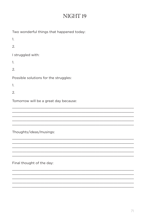## NIGHT<sub>19</sub>

| Two wonderful things that happened today: |
|-------------------------------------------|
| 1.                                        |
| 2.                                        |
| I struggled with:                         |
| 1.                                        |
| 2.                                        |
| Possible solutions for the struggles:     |
| 1.                                        |
| 2.                                        |
| Tomorrow will be a great day because:     |
|                                           |
|                                           |
|                                           |
|                                           |

Thoughts/ideas/musings: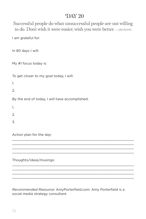Successful people do what unsuccessful people are not willing to do. Don't wish it were easier, wish you were better.  $-$ JIM ROHN

I am grateful for:

In 80 days I will:

My #1 focus today is:

To get closer to my goal today, I will:

1.

2.

By the end of today, I will have accomplished:

1.

 $\mathcal{L}$ 

3.

Action plan for the day:

Thoughts/ideas/musings:

*Recommended Resource:* AmyPorterfield.com: Amy Porterfield is a social media strategy consultant.

\_\_\_\_\_\_\_\_\_\_\_\_\_\_\_\_\_\_\_\_\_\_\_\_\_\_\_\_\_\_\_\_\_\_\_\_\_\_\_\_\_\_\_\_\_\_\_\_\_\_\_\_\_\_\_\_\_\_\_\_  $\_$  , and the state of the state of the state of the state of the state of the state of the state of the state of the state of the state of the state of the state of the state of the state of the state of the state of the \_\_\_\_\_\_\_\_\_\_\_\_\_\_\_\_\_\_\_\_\_\_\_\_\_\_\_\_\_\_\_\_\_\_\_\_\_\_\_\_\_\_\_\_\_\_\_\_\_\_\_\_\_\_\_\_\_\_\_\_ \_\_\_\_\_\_\_\_\_\_\_\_\_\_\_\_\_\_\_\_\_\_\_\_\_\_\_\_\_\_\_\_\_\_\_\_\_\_\_\_\_\_\_\_\_\_\_\_\_\_\_\_\_\_\_\_\_\_\_\_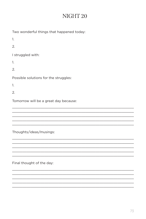## NIGHT<sub>20</sub>

| Two wonderful things that happened today: |
|-------------------------------------------|
| 1.                                        |
| 2.                                        |
| I struggled with:                         |
| 1.                                        |
| 2.                                        |
| Possible solutions for the struggles:     |
| 1.                                        |
| 2.                                        |
| Tomorrow will be a great day because:     |
|                                           |
|                                           |
|                                           |

Thoughts/ideas/musings: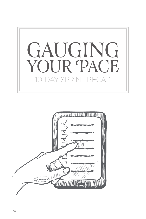

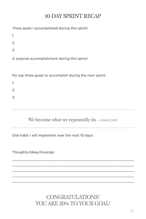## 10-DAY SPRINT RECAP

Three goals I accomplished during this sprint:

1.

2.

3.

A surprise accomplishment during this sprint:

My top three goals to accomplish during the next sprint:

1.

2.

3.

We become what we repeatedly do. - SEAN COVEY

\_\_\_\_\_\_\_\_\_\_\_\_\_\_\_\_\_\_\_\_\_\_\_\_\_\_\_\_\_\_\_\_\_\_\_\_\_\_\_\_\_\_\_\_\_\_\_\_\_\_\_\_\_\_\_\_\_\_\_\_ \_\_\_\_\_\_\_\_\_\_\_\_\_\_\_\_\_\_\_\_\_\_\_\_\_\_\_\_\_\_\_\_\_\_\_\_\_\_\_\_\_\_\_\_\_\_\_\_\_\_\_\_\_\_\_\_\_\_\_\_  $\_$  , and the state of the state of the state of the state of the state of the state of the state of the state of the state of the state of the state of the state of the state of the state of the state of the state of the \_\_\_\_\_\_\_\_\_\_\_\_\_\_\_\_\_\_\_\_\_\_\_\_\_\_\_\_\_\_\_\_\_\_\_\_\_\_\_\_\_\_\_\_\_\_\_\_\_\_\_\_\_\_\_\_\_\_\_\_ \_\_\_\_\_\_\_\_\_\_\_\_\_\_\_\_\_\_\_\_\_\_\_\_\_\_\_\_\_\_\_\_\_\_\_\_\_\_\_\_\_\_\_\_\_\_\_\_\_\_\_\_\_\_\_\_\_\_\_\_

One habit I will implement over the next 10 days:

Thoughts/ideas/musings:

CONGRATULATIONS! YOU ARE 20% TO YOUR GOAL!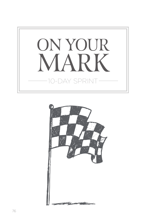

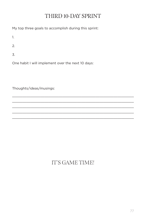## THIRD 10-DAY SPRINT

My top three goals to accomplish during this sprint:

1.

2.

3.

One habit I will implement over the next 10 days:

Thoughts/ideas/musings:

# IT'S GAME TIME!

\_\_\_\_\_\_\_\_\_\_\_\_\_\_\_\_\_\_\_\_\_\_\_\_\_\_\_\_\_\_\_\_\_\_\_\_\_\_\_\_\_\_\_\_\_\_\_\_\_\_\_\_\_\_\_\_\_\_\_\_  $\_$  , and the state of the state of the state of the state of the state of the state of the state of the state of the state of the state of the state of the state of the state of the state of the state of the state of the \_\_\_\_\_\_\_\_\_\_\_\_\_\_\_\_\_\_\_\_\_\_\_\_\_\_\_\_\_\_\_\_\_\_\_\_\_\_\_\_\_\_\_\_\_\_\_\_\_\_\_\_\_\_\_\_\_\_\_\_ \_\_\_\_\_\_\_\_\_\_\_\_\_\_\_\_\_\_\_\_\_\_\_\_\_\_\_\_\_\_\_\_\_\_\_\_\_\_\_\_\_\_\_\_\_\_\_\_\_\_\_\_\_\_\_\_\_\_\_\_  $\_$  , and the state of the state of the state of the state of the state of the state of the state of the state of the state of the state of the state of the state of the state of the state of the state of the state of the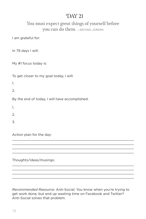#### You must expect great things of yourself before you can do them. —MICHAEL JORDAN

I am grateful for:

In 79 days I will:

My #1 focus today is:

To get closer to my goal today, I will:

1.

2.

By the end of today, I will have accomplished:

1.

 $\mathcal{L}$ 

3.

Action plan for the day:

Thoughts/ideas/musings:

*Recommended Resource:* Anti-Social: You know when you're trying to get work done, but end up wasting time on Facebook and Twitter? Anti-Social solves that problem.

\_\_\_\_\_\_\_\_\_\_\_\_\_\_\_\_\_\_\_\_\_\_\_\_\_\_\_\_\_\_\_\_\_\_\_\_\_\_\_\_\_\_\_\_\_\_\_\_\_\_\_\_\_\_\_\_\_\_\_\_  $\_$  , and the state of the state of the state of the state of the state of the state of the state of the state of the state of the state of the state of the state of the state of the state of the state of the state of the \_\_\_\_\_\_\_\_\_\_\_\_\_\_\_\_\_\_\_\_\_\_\_\_\_\_\_\_\_\_\_\_\_\_\_\_\_\_\_\_\_\_\_\_\_\_\_\_\_\_\_\_\_\_\_\_\_\_\_\_ \_\_\_\_\_\_\_\_\_\_\_\_\_\_\_\_\_\_\_\_\_\_\_\_\_\_\_\_\_\_\_\_\_\_\_\_\_\_\_\_\_\_\_\_\_\_\_\_\_\_\_\_\_\_\_\_\_\_\_\_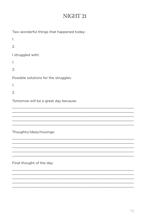## NIGHT 21

| Two wonderful things that happened today: |
|-------------------------------------------|
| 1.                                        |
| 2.                                        |
| I struggled with:                         |
| 1.                                        |
| 2.                                        |
| Possible solutions for the struggles:     |
| 1.                                        |
| 2.                                        |
| Tomorrow will be a great day because:     |
|                                           |
|                                           |
|                                           |
|                                           |

Thoughts/ideas/musings: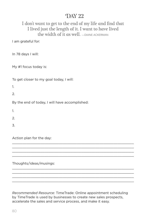#### I don't want to get to the end of my life and find that I lived just the length of it. I want to have lived the width of it as well. — DIANE ACKERMAN

I am grateful for:

In 78 days I will:

My #1 focus today is:

To get closer to my goal today, I will:

1.

 $\mathcal{L}$ 

By the end of today, I will have accomplished:

1.

2.

3.

Action plan for the day:

Thoughts/ideas/musings:

*Recommended Resource:* TimeTrade: Online appointment scheduling by TimeTrade is used by businesses to create new sales prospects, accelerate the sales and service process, and make it easy.

\_\_\_\_\_\_\_\_\_\_\_\_\_\_\_\_\_\_\_\_\_\_\_\_\_\_\_\_\_\_\_\_\_\_\_\_\_\_\_\_\_\_\_\_\_\_\_\_\_\_\_\_\_\_\_\_\_\_\_\_ \_\_\_\_\_\_\_\_\_\_\_\_\_\_\_\_\_\_\_\_\_\_\_\_\_\_\_\_\_\_\_\_\_\_\_\_\_\_\_\_\_\_\_\_\_\_\_\_\_\_\_\_\_\_\_\_\_\_\_\_  $\_$  , and the state of the state of the state of the state of the state of the state of the state of the state of the state of the state of the state of the state of the state of the state of the state of the state of the \_\_\_\_\_\_\_\_\_\_\_\_\_\_\_\_\_\_\_\_\_\_\_\_\_\_\_\_\_\_\_\_\_\_\_\_\_\_\_\_\_\_\_\_\_\_\_\_\_\_\_\_\_\_\_\_\_\_\_\_

\_\_\_\_\_\_\_\_\_\_\_\_\_\_\_\_\_\_\_\_\_\_\_\_\_\_\_\_\_\_\_\_\_\_\_\_\_\_\_\_\_\_\_\_\_\_\_\_\_\_\_\_\_\_\_\_\_\_\_\_ \_\_\_\_\_\_\_\_\_\_\_\_\_\_\_\_\_\_\_\_\_\_\_\_\_\_\_\_\_\_\_\_\_\_\_\_\_\_\_\_\_\_\_\_\_\_\_\_\_\_\_\_\_\_\_\_\_\_\_\_  $\_$  , and the state of the state of the state of the state of the state of the state of the state of the state of the state of the state of the state of the state of the state of the state of the state of the state of the \_\_\_\_\_\_\_\_\_\_\_\_\_\_\_\_\_\_\_\_\_\_\_\_\_\_\_\_\_\_\_\_\_\_\_\_\_\_\_\_\_\_\_\_\_\_\_\_\_\_\_\_\_\_\_\_\_\_\_\_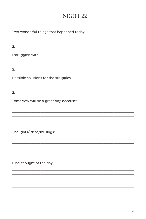## NIGHT<sub>22</sub>

| Two wonderful things that happened today: |
|-------------------------------------------|
| 1.                                        |
| 2.                                        |
| I struggled with:                         |
| 1.                                        |
| 2.                                        |
| Possible solutions for the struggles:     |
| 1.                                        |
|                                           |
| 2.                                        |
| Tomorrow will be a great day because:     |
|                                           |
|                                           |

Thoughts/ideas/musings: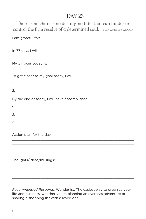There is no chance, no destiny, no fate, that can hinder or control the firm resolve of a determined soul. —ELLA WHEELER WILCOX

I am grateful for:

In 77 days I will:

My #1 focus today is:

To get closer to my goal today, I will:

1.

2.

By the end of today, I will have accomplished:

1.

 $\mathcal{L}$ 

3.

Action plan for the day:

Thoughts/ideas/musings:

*Recommended Resource:* Wunderlist: The easiest way to organize your life and business, whether you're planning an overseas adventure or sharing a shopping list with a loved one.

\_\_\_\_\_\_\_\_\_\_\_\_\_\_\_\_\_\_\_\_\_\_\_\_\_\_\_\_\_\_\_\_\_\_\_\_\_\_\_\_\_\_\_\_\_\_\_\_\_\_\_\_\_\_\_\_\_\_\_\_  $\_$  , and the state of the state of the state of the state of the state of the state of the state of the state of the state of the state of the state of the state of the state of the state of the state of the state of the \_\_\_\_\_\_\_\_\_\_\_\_\_\_\_\_\_\_\_\_\_\_\_\_\_\_\_\_\_\_\_\_\_\_\_\_\_\_\_\_\_\_\_\_\_\_\_\_\_\_\_\_\_\_\_\_\_\_\_\_ \_\_\_\_\_\_\_\_\_\_\_\_\_\_\_\_\_\_\_\_\_\_\_\_\_\_\_\_\_\_\_\_\_\_\_\_\_\_\_\_\_\_\_\_\_\_\_\_\_\_\_\_\_\_\_\_\_\_\_\_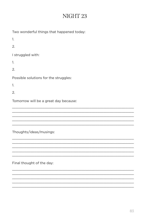| Two wonderful things that happened today: |
|-------------------------------------------|
| 1.                                        |
| 2.                                        |
| I struggled with:                         |
| 1.                                        |
| 2.                                        |
| Possible solutions for the struggles:     |
| 1.                                        |
| 2.                                        |
| Tomorrow will be a great day because:     |
|                                           |
|                                           |
|                                           |

Thoughts/ideas/musings: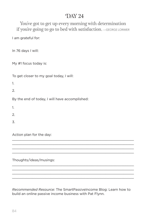You've got to get up every morning with determination if you're going to go to bed with satisfaction. —GEORGE LORIMER

I am grateful for:

In 76 days I will:

My #1 focus today is:

To get closer to my goal today, I will:

1.

2.

By the end of today, I will have accomplished:

1.

 $\mathcal{L}$ 

3.

Action plan for the day:

Thoughts/ideas/musings:

*Recommended Resource:* The SmartPassiveIncome Blog: Learn how to build an online passive income business with Pat Flynn.

\_\_\_\_\_\_\_\_\_\_\_\_\_\_\_\_\_\_\_\_\_\_\_\_\_\_\_\_\_\_\_\_\_\_\_\_\_\_\_\_\_\_\_\_\_\_\_\_\_\_\_\_\_\_\_\_\_\_\_\_  $\_$  , and the state of the state of the state of the state of the state of the state of the state of the state of the state of the state of the state of the state of the state of the state of the state of the state of the \_\_\_\_\_\_\_\_\_\_\_\_\_\_\_\_\_\_\_\_\_\_\_\_\_\_\_\_\_\_\_\_\_\_\_\_\_\_\_\_\_\_\_\_\_\_\_\_\_\_\_\_\_\_\_\_\_\_\_\_ \_\_\_\_\_\_\_\_\_\_\_\_\_\_\_\_\_\_\_\_\_\_\_\_\_\_\_\_\_\_\_\_\_\_\_\_\_\_\_\_\_\_\_\_\_\_\_\_\_\_\_\_\_\_\_\_\_\_\_\_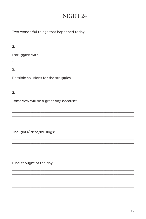| Two wonderful things that happened today: |
|-------------------------------------------|
| 1.                                        |
| 2.                                        |
| I struggled with:                         |
| 1.                                        |
| 2.                                        |
| Possible solutions for the struggles:     |
| 1.                                        |
| 2.                                        |
| Tomorrow will be a great day because:     |
|                                           |
|                                           |
|                                           |

Thoughts/ideas/musings: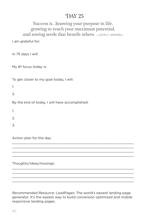#### Success is...knowing your purpose in life, growing to reach your maximum potential, and sowing seeds that benefit others.  $-$ JOHN C. MAXWELL

I am grateful for:

In 75 days I will:

My #1 focus today is:

To get closer to my goal today, I will:

1.

 $\mathcal{L}$ 

By the end of today, I will have accomplished:

1.

2.

3.

Action plan for the day:

Thoughts/ideas/musings:

*Recommended Resource:* LeadPages: The world's easiest landing page generator. It's the easiest way to build conversion optimized and mobile responsive landing pages.

\_\_\_\_\_\_\_\_\_\_\_\_\_\_\_\_\_\_\_\_\_\_\_\_\_\_\_\_\_\_\_\_\_\_\_\_\_\_\_\_\_\_\_\_\_\_\_\_\_\_\_\_\_\_\_\_\_\_\_\_ \_\_\_\_\_\_\_\_\_\_\_\_\_\_\_\_\_\_\_\_\_\_\_\_\_\_\_\_\_\_\_\_\_\_\_\_\_\_\_\_\_\_\_\_\_\_\_\_\_\_\_\_\_\_\_\_\_\_\_\_  $\_$  , and the state of the state of the state of the state of the state of the state of the state of the state of the state of the state of the state of the state of the state of the state of the state of the state of the \_\_\_\_\_\_\_\_\_\_\_\_\_\_\_\_\_\_\_\_\_\_\_\_\_\_\_\_\_\_\_\_\_\_\_\_\_\_\_\_\_\_\_\_\_\_\_\_\_\_\_\_\_\_\_\_\_\_\_\_

\_\_\_\_\_\_\_\_\_\_\_\_\_\_\_\_\_\_\_\_\_\_\_\_\_\_\_\_\_\_\_\_\_\_\_\_\_\_\_\_\_\_\_\_\_\_\_\_\_\_\_\_\_\_\_\_\_\_\_\_ \_\_\_\_\_\_\_\_\_\_\_\_\_\_\_\_\_\_\_\_\_\_\_\_\_\_\_\_\_\_\_\_\_\_\_\_\_\_\_\_\_\_\_\_\_\_\_\_\_\_\_\_\_\_\_\_\_\_\_\_  $\_$  , and the state of the state of the state of the state of the state of the state of the state of the state of the state of the state of the state of the state of the state of the state of the state of the state of the \_\_\_\_\_\_\_\_\_\_\_\_\_\_\_\_\_\_\_\_\_\_\_\_\_\_\_\_\_\_\_\_\_\_\_\_\_\_\_\_\_\_\_\_\_\_\_\_\_\_\_\_\_\_\_\_\_\_\_\_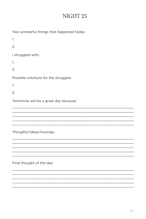# NIGHT<sub>25</sub>

| Two wonderful things that happened today: |
|-------------------------------------------|
| 1.                                        |
| 2.                                        |
| I struggled with:                         |
| 1.                                        |
| 2.                                        |
| Possible solutions for the struggles:     |
| 1.                                        |
| $\mathfrak{D}$                            |
| Tomorrow will be a great day because:     |
|                                           |
|                                           |
|                                           |

Thoughts/ideas/musings: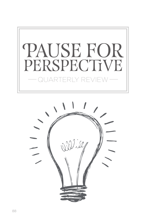

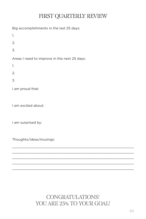# FIRST QUARTERLY REVIEW

Big accomplishments in the last 25 days:

1.

2.

3.

Areas I need to improve in the next 25 days:

1.

2.

3.

I am proud that:

I am excited about:

I am surprised by:

Thoughts/ideas/musings:

CONGRATULATIONS! YOU ARE 25% TO YOUR GOAL!

 $\_$  , and the state of the state of the state of the state of the state of the state of the state of the state of the state of the state of the state of the state of the state of the state of the state of the state of the \_\_\_\_\_\_\_\_\_\_\_\_\_\_\_\_\_\_\_\_\_\_\_\_\_\_\_\_\_\_\_\_\_\_\_\_\_\_\_\_\_\_\_\_\_\_\_\_\_\_\_\_\_\_\_\_\_\_\_\_ \_\_\_\_\_\_\_\_\_\_\_\_\_\_\_\_\_\_\_\_\_\_\_\_\_\_\_\_\_\_\_\_\_\_\_\_\_\_\_\_\_\_\_\_\_\_\_\_\_\_\_\_\_\_\_\_\_\_\_\_  $\_$  , and the state of the state of the state of the state of the state of the state of the state of the state of the state of the state of the state of the state of the state of the state of the state of the state of the \_\_\_\_\_\_\_\_\_\_\_\_\_\_\_\_\_\_\_\_\_\_\_\_\_\_\_\_\_\_\_\_\_\_\_\_\_\_\_\_\_\_\_\_\_\_\_\_\_\_\_\_\_\_\_\_\_\_\_\_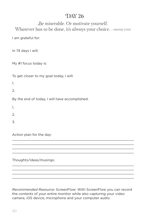Be miserable. Or motivate yourself. Whatever has to be done, it's always your choice.  $\equiv$  WAYNE DYER

I am grateful for:

In 74 days I will:

My #1 focus today is:

To get closer to my goal today, I will:

1.

2.

By the end of today, I will have accomplished:

1.

 $\mathcal{L}$ 

3.

Action plan for the day:

Thoughts/ideas/musings:

*Recommended Resource:* ScreenFlow: With ScreenFlow you can record the contents of your entire monitor while also capturing your video camera, iOS device, microphone and your computer audio.

\_\_\_\_\_\_\_\_\_\_\_\_\_\_\_\_\_\_\_\_\_\_\_\_\_\_\_\_\_\_\_\_\_\_\_\_\_\_\_\_\_\_\_\_\_\_\_\_\_\_\_\_\_\_\_\_\_\_\_\_  $\_$  , and the state of the state of the state of the state of the state of the state of the state of the state of the state of the state of the state of the state of the state of the state of the state of the state of the \_\_\_\_\_\_\_\_\_\_\_\_\_\_\_\_\_\_\_\_\_\_\_\_\_\_\_\_\_\_\_\_\_\_\_\_\_\_\_\_\_\_\_\_\_\_\_\_\_\_\_\_\_\_\_\_\_\_\_\_ \_\_\_\_\_\_\_\_\_\_\_\_\_\_\_\_\_\_\_\_\_\_\_\_\_\_\_\_\_\_\_\_\_\_\_\_\_\_\_\_\_\_\_\_\_\_\_\_\_\_\_\_\_\_\_\_\_\_\_\_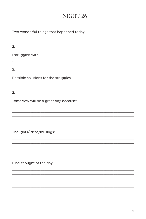| Two wonderful things that happened today: |
|-------------------------------------------|
| 1.                                        |
| 2.                                        |
| I struggled with:                         |
| 1.                                        |
| 2.                                        |
| Possible solutions for the struggles:     |
| 1.                                        |
| 2.                                        |
| Tomorrow will be a great day because:     |
|                                           |
|                                           |
|                                           |

Thoughts/ideas/musings: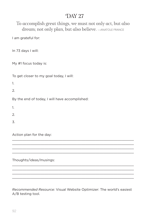To accomplish great things, we must not only act, but also dream; not only plan, but also believe.  $\rightarrow$  ANATOLE FRANCE

I am grateful for:

In 73 days I will:

My #1 focus today is:

To get closer to my goal today, I will:

1.

2.

By the end of today, I will have accomplished:

1.

 $\mathcal{L}$ 

3.

Action plan for the day:

Thoughts/ideas/musings:

*Recommended Resource:* Visual Website Optimizer: The world's easiest A/B testing tool.

\_\_\_\_\_\_\_\_\_\_\_\_\_\_\_\_\_\_\_\_\_\_\_\_\_\_\_\_\_\_\_\_\_\_\_\_\_\_\_\_\_\_\_\_\_\_\_\_\_\_\_\_\_\_\_\_\_\_\_\_  $\_$  , and the state of the state of the state of the state of the state of the state of the state of the state of the state of the state of the state of the state of the state of the state of the state of the state of the \_\_\_\_\_\_\_\_\_\_\_\_\_\_\_\_\_\_\_\_\_\_\_\_\_\_\_\_\_\_\_\_\_\_\_\_\_\_\_\_\_\_\_\_\_\_\_\_\_\_\_\_\_\_\_\_\_\_\_\_ \_\_\_\_\_\_\_\_\_\_\_\_\_\_\_\_\_\_\_\_\_\_\_\_\_\_\_\_\_\_\_\_\_\_\_\_\_\_\_\_\_\_\_\_\_\_\_\_\_\_\_\_\_\_\_\_\_\_\_\_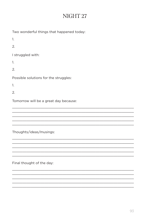| Two wonderful things that happened today: |
|-------------------------------------------|
| 1.                                        |
| 2.                                        |
| I struggled with:                         |
| 1.                                        |
| 2.                                        |
| Possible solutions for the struggles:     |
| 1.                                        |
| 2.                                        |
| Tomorrow will be a great day because:     |
|                                           |
|                                           |
|                                           |

Thoughts/ideas/musings: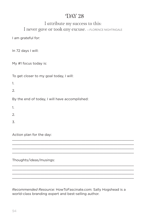#### I attribute my success to this: I never gave or took any excuse. - FLORENCE NIGHTINGALE

I am grateful for:

In 72 days I will:

My #1 focus today is:

To get closer to my goal today, I will:

1.

2.

By the end of today, I will have accomplished:

1.

 $\mathcal{L}$ 

3.

Action plan for the day:

Thoughts/ideas/musings:

*Recommended Resource:* HowToFascinate.com: Sally Hogshead is a world-class branding expert and best-selling author.

\_\_\_\_\_\_\_\_\_\_\_\_\_\_\_\_\_\_\_\_\_\_\_\_\_\_\_\_\_\_\_\_\_\_\_\_\_\_\_\_\_\_\_\_\_\_\_\_\_\_\_\_\_\_\_\_\_\_\_\_  $\_$  , and the state of the state of the state of the state of the state of the state of the state of the state of the state of the state of the state of the state of the state of the state of the state of the state of the \_\_\_\_\_\_\_\_\_\_\_\_\_\_\_\_\_\_\_\_\_\_\_\_\_\_\_\_\_\_\_\_\_\_\_\_\_\_\_\_\_\_\_\_\_\_\_\_\_\_\_\_\_\_\_\_\_\_\_\_ \_\_\_\_\_\_\_\_\_\_\_\_\_\_\_\_\_\_\_\_\_\_\_\_\_\_\_\_\_\_\_\_\_\_\_\_\_\_\_\_\_\_\_\_\_\_\_\_\_\_\_\_\_\_\_\_\_\_\_\_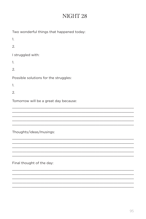Thoughts/ideas/musings: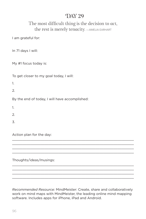#### The most difficult thing is the decision to act, the rest is merely tenacity. —AMELIA EARHART

I am grateful for:

In 71 days I will:

My #1 focus today is:

To get closer to my goal today, I will:

1.

2.

By the end of today, I will have accomplished:

1.

 $\mathcal{L}$ 

3.

Action plan for the day:

Thoughts/ideas/musings:

*Recommended Resource:* MindMeister: Create, share and collaboratively work on mind maps with MindMeister, the leading online mind mapping software. Includes apps for iPhone, iPad and Android.

\_\_\_\_\_\_\_\_\_\_\_\_\_\_\_\_\_\_\_\_\_\_\_\_\_\_\_\_\_\_\_\_\_\_\_\_\_\_\_\_\_\_\_\_\_\_\_\_\_\_\_\_\_\_\_\_\_\_\_\_  $\_$  , and the state of the state of the state of the state of the state of the state of the state of the state of the state of the state of the state of the state of the state of the state of the state of the state of the \_\_\_\_\_\_\_\_\_\_\_\_\_\_\_\_\_\_\_\_\_\_\_\_\_\_\_\_\_\_\_\_\_\_\_\_\_\_\_\_\_\_\_\_\_\_\_\_\_\_\_\_\_\_\_\_\_\_\_\_ \_\_\_\_\_\_\_\_\_\_\_\_\_\_\_\_\_\_\_\_\_\_\_\_\_\_\_\_\_\_\_\_\_\_\_\_\_\_\_\_\_\_\_\_\_\_\_\_\_\_\_\_\_\_\_\_\_\_\_\_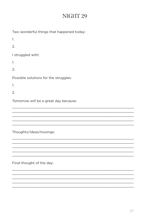| Two wonderful things that happened today: |
|-------------------------------------------|
| 1.                                        |
| 2.                                        |
| I struggled with:                         |
| 1.                                        |
| 2.                                        |
| Possible solutions for the struggles:     |
| 1.                                        |
| 2.                                        |
| Tomorrow will be a great day because:     |
|                                           |
|                                           |
|                                           |

Thoughts/ideas/musings: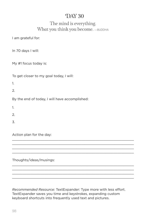#### The mind is everything. What you think you become.  $\equiv$ BUDDHA

I am grateful for:

In 70 days I will:

My #1 focus today is:

To get closer to my goal today, I will:

1.

2.

By the end of today, I will have accomplished:

1.

 $\mathcal{L}$ 

3.

Action plan for the day:

Thoughts/ideas/musings:

*Recommended Resource:* TextExpander: Type more with less effort. TextExpander saves you time and keystrokes, expanding custom keyboard shortcuts into frequently used text and pictures.

\_\_\_\_\_\_\_\_\_\_\_\_\_\_\_\_\_\_\_\_\_\_\_\_\_\_\_\_\_\_\_\_\_\_\_\_\_\_\_\_\_\_\_\_\_\_\_\_\_\_\_\_\_\_\_\_\_\_\_\_  $\_$  , and the state of the state of the state of the state of the state of the state of the state of the state of the state of the state of the state of the state of the state of the state of the state of the state of the \_\_\_\_\_\_\_\_\_\_\_\_\_\_\_\_\_\_\_\_\_\_\_\_\_\_\_\_\_\_\_\_\_\_\_\_\_\_\_\_\_\_\_\_\_\_\_\_\_\_\_\_\_\_\_\_\_\_\_\_ \_\_\_\_\_\_\_\_\_\_\_\_\_\_\_\_\_\_\_\_\_\_\_\_\_\_\_\_\_\_\_\_\_\_\_\_\_\_\_\_\_\_\_\_\_\_\_\_\_\_\_\_\_\_\_\_\_\_\_\_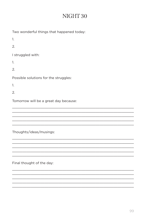| Two wonderful things that happened today: |
|-------------------------------------------|
| 1.                                        |
| 2.                                        |
| I struggled with:                         |
| 1.                                        |
| 2.                                        |
| Possible solutions for the struggles:     |
| 1.                                        |
| 2.                                        |
| Tomorrow will be a great day because:     |
|                                           |
|                                           |
|                                           |
|                                           |

Thoughts/ideas/musings: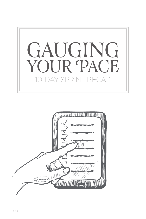

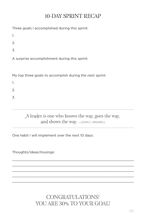# 10-DAY SPRINT RECAP

Three goals I accomplished during this sprint:

1.

2.

3.

A surprise accomplishment during this sprint:

My top three goals to accomplish during the next sprint:

1.

2.

3.

A leader is one who knows the way, goes the way, and shows the way.  $-$ JOHN C. MAXWELL

One habit I will implement over the next 10 days:

Thoughts/ideas/musings:

CONGRATULATIONS! YOU ARE 30% TO YOUR GOAL!